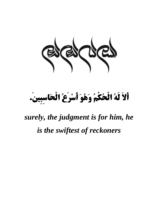

#### أَلَا لَهُ الْحُكُمُ وَهُوَ أَسْرِعُ الْحَاسِبِينِ. **َ ِ ْ َ** ֦ ֚֚֬ **ْ َ**

# *surely, the judgment is for him, he is the swiftest of reckoners*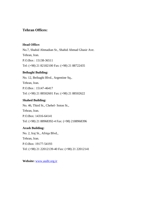# **Tehran Offices:**

## **Head Office:**

No.7, Shahid Ahmadian St., Shahid Ahmad Ghasir Ave. Tehran, Iran. P.O.Box : 15138-36511 Tel: (+98) 21 82182100 Fax: (+98) 21 88722435

## **Beihaghi Building:**

No. 12, Beihaghi Blvd., Argentine Sq., Tehran, Iran. P.O.Box : 15147-46417 Tel: (+98) 21 88502601 Fax: (+98) 21 88502622

### **Shahed Building:**

No. 46, Third St., Chehel- Soton St., Tehran, Iran. P.O.Box: 14316-64141 Tel: (+98) 21 88968392-4 Fax: (+98) 2188968396

## **Arash Building:**

No. 2, Iraj St., Afriqa Blvd., Tehran, Iran. P.O.Box: 19177-54193 Tel: (+98) 21 22012139-40 Fax: (+98) 21 22012141

**Website:** www.audit.org.ir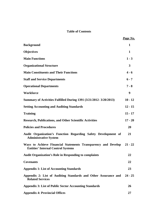# **Table of Contents**

|                                                                                                            | Page No.  |
|------------------------------------------------------------------------------------------------------------|-----------|
| <b>Background</b>                                                                                          | 1         |
| <b>Objectives</b>                                                                                          | 1         |
| <b>Main Functions</b>                                                                                      | $1 - 3$   |
| <b>Organizational Structure</b>                                                                            | 3         |
| <b>Main Constituents and Their Functions</b>                                                               | $4 - 6$   |
| <b>Staff and Service Departments</b>                                                                       | $6 - 7$   |
| <b>Operational Departments</b>                                                                             | $7 - 8$   |
| Workforce                                                                                                  | 9         |
| <b>Summary of Activities Fulfilled During 1391 (3/21/2012-3/20/2013)</b>                                   | $10 - 12$ |
| <b>Setting Accounting and Auditing Standards</b>                                                           | $12 - 15$ |
| <b>Training</b>                                                                                            | $15 - 17$ |
| <b>Research, Publications, and Other Scientific Activities</b>                                             | $17 - 20$ |
| <b>Policies and Procedures</b>                                                                             | 20        |
| Audit Organization's Function Regarding Safety Development of<br><b>Administrative System</b>              | 21        |
| Ways to Achieve Financial Statements Transparency and Develop<br><b>Entities' Internal Control Systems</b> | $21 - 22$ |
| <b>Audit Organization's Role in Responding to complaints</b>                                               | 22        |
| <b>Covenants</b>                                                                                           | 22        |
| <b>Appendix 1: List of Accounting Standards</b>                                                            | 23        |
| Appendix 2: List of Auditing Standards and Other Assurance and<br><b>Related Services</b>                  | $24 - 25$ |
| <b>Appendix 3: List of Public Sector Accounting Standards</b>                                              | 26        |
| <b>Appendix 4: Provincial Offices</b>                                                                      | 27        |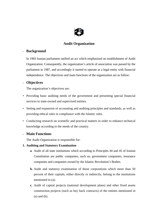

# **Audit Organization**

# **- Background**

In 1983 Iranian parliament ratified an act which emphasized on establishment of Audit Organization. Consequently, the organization's article of association was passed by the parliament in 1987, and accordingly it started to operate as a legal entity with financial independence. The objectives and main functions of the organization are as follow:

# **- Objectives**

The organization's objectives are:

- Providing basic auditing needs of the government and presenting special financial services to state-owned and supervised entities.
- Setting and expansion of accounting and auditing principles and standards, as well as providing ethical rules in compliance with the Islamic rules.
- Conducting research on scientific and practical matters in order to enhance technical knowledge according to the needs of the country.

# **- Main Functions**

The Audit Organization is responsible for:

## **1. Auditing and Statutory Examination**

- **a**. Audit of all state institutions which according to Principles 44 and 45 of Iranian Constitution are public companies, such as; government companies, insurance companies and companies owned by the Islamic Revolution's Bodies.
- **b.** Audit and statutory examination of those corporations which more than 50 percent of their capitals, either directly or indirectly, belong to the institutions mentioned in (a).
- **c.** Audit of capital projects (national development plans) and other fixed assets construction projects (such as buy back contracts) of the entities mentioned in (a) and (b).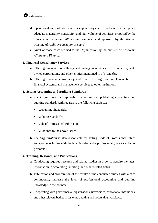- **d.** Operational audit of companies or capital projects of fixed assets which poses adequate materiality, sensitivity, and high volume of activities, proposed by the minister *of Economic Affairs and Finance,* and approved by the Annual Meeting of *Audit Organization's Board.*
- **e**. Audit of those cases retuned to the *Organization* by the minister of *Economic Affairs and Finance.*

#### **2. Financial Consultancy Services**

- **a.** Offering financial consultancy and management services to ministries, state owned corporations, and other entities mentioned in 1(a) and (b).
- **b.** Offering financial consultancy and services, design and implementation of financial systems, and management services to other institutions.

#### **3. Setting Accounting and Auditing Standards**

- **a.** *The Organization* is responsible for setting and publishing accounting and auditing standards with regards to the following subjects:
	- Accounting Standards;
	- Auditing Standards;
	- Code of Professional Ethics: and
	- Guidelines to the above issues.
- **b.** *The Organization* is also responsible for setting Code of Professional Ethics and Conducts in line with the Islamic rules, to be professionally observed by its personnel.

#### **4. Training, Research, and Publications**

- **a.** Conducting required research and related studies in order to acquire the latest information in accounting, auditing, and other related fields.
- **b.** Publication and proliferation of the results of the conducted studies with aim to continuously increase the level of professional accounting and auditing knowledge in the country.
- **c.** Cooperating with governmental organizations, universities, educational institutions, and other relevant bodies in fostering auditing and accounting workforce.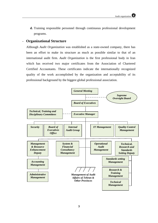**d.** Training responsible personnel through continuous professional development programs.

#### **- Organizational Structure**

Although *Audit Organization* was established as a state-owned company, there has been an effort to make its structure as much as possible similar to that of an international audit firm. *Audit Organization* is the first professional body in Iran which has received two major certificates from the Association of Chartered Certified Accountants. These certificates indicate the internationally recognized quality of the work accomplished by the organization and acceptability of its professional background by the biggest global professional association.

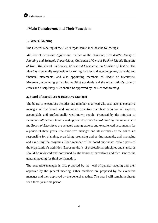## **- Main Constituents and Their Functions**

#### **1. General Meeting**

The General Meeting of the *Audit Organization* includes the followings;

*Minister* of *Economic Affairs and finance* as the chairman, *President's Deputy in Planning and Strategic Supervisions, Chairman of Central Bank of Islamic Republic of Iran, Minister of Industries, Mines and Commerce,* an *Minister of Justice.* The *Meeting* is generally responsible for setting policies and attesting plans, manuals, and financial statements, and also appointing members of *Board* of *Executives*. Moreover, accounting principles, auditing standards and the organization's code of ethics and disciplinary rules should be approved by the *General Meeting.* 

#### **2. Board of Executives & Executive Manager**

The board of executives includes one member as a head who also acts as executive manager of the board, and six other executive members who are all experts, accountable and professionally well-known people. Proposed by the minister of *Economic Affairs* and *finance* and approved by the *General meeting*, the members of *the Board of Executives* are selected among experts and experienced accountants for a period of three years. The executive manager and all members of the board are responsible for planning, organizing, preparing and setting manuals, and managing and executing the programs. Each member of the board supervises certain parts of the organization's activities. Exposure drafts of professional principles and standards should be reviewed and confirmed by the board of executives and then sent to the general meeting for final confirmation.

The executive manager is first proposed by the head of general meeting and then approved by the general meeting. Other members are proposed by the executive manager and then approved by the general meeting. The board will remain in charge for a three-year time period.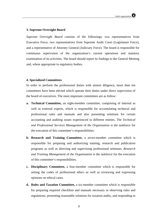#### **3. Supreme Oversight Board**

*Supreme Oversight Board* consists of the followings: two representatives from Executive Force, two representatives from Supreme Audit Court (Legislature Force), and a representative of Attorney General (Judiciary Force). The board is responsible for continuous supervision of the organization's current operations and statutory examination of its activities. The board should report its findings to the General Meeting and, where appropriate to regulatory bodies.

#### **4. Specialized Committees**

In order to perform the professional duties with utmost diligence, more than ten committees have been elected which operate their duties under direct supervision of the board of executives. The most important committees are as follow:

- **a. Technical Committee,** an eight-member committee, comprising of internal as well as external experts, which is responsible for accumulating technical and professional rules and manuals and also presenting solutions for certain accounting and auditing issues experienced in different entities. The *Technical and Professional Services Management* of *the Organization* is the taskforce for the execution of this committee's responsibilities.
- **b. Research and Training Committee,** a seven-member committee which is responsible for preparing and authorizing training, research and publication programs as well as directing and supervising professional seminars. *Research and Training Management* of *the Organization* is the taskforce for the execution of this committee's responsibilities.
- **c. Disciplinary Committee,** a four-member committee which is responsible for setting the codes of professional ethics as well as reviewing and expressing opinions on ethical cases.
- **d. Rules and Taxation Committee,** a six-member committee which is responsible for preparing required checklists and manuals necessary in observing rules and regulations, presenting reasonable solutions for taxation audits, and responding to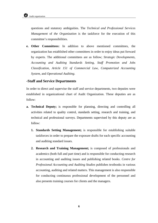questions and statutory ambiguities. The *Technical and Professional Services Management* of *the Organization* is the taskforce for the execution of this committee's responsibilities.

**e. Other Committees:** In addition to above mentioned committees, the organization has established other committees in order to enjoy ideas put forward by experts. The additional committees are as follow; *Strategic Developments*, *Accounting and Auditing Standards Setting*, *Staff Promotion and Jobs Classification*, *Article 151 of Commercial Law*, *Computerized Accounting System*, and *Operational Auditing*.

#### **-Staff and Service Departments**

In order to direct and supervise the staff and service departments, two deputies were established in organizational chart of Audit Organization. These deputies are as follow:

- **a. Technical Deputy;** is responsible for planning, directing and controlling all activities related to quality control, standards setting, research and training, and technical and professional surveys. Departments supervised by this deputy are as follow:
	- **1. Standards Setting Management;** is responsible for establishing suitable taskforces in order to prepare the exposure drafts for each specific accounting and auditing standard issues.
	- **2. Research and Training Management;** is composed of professionals and academics (both full and part time) and is responsible for conducting research in accounting and auditing issues and publishing related books. *Centre for Professional Accounting and Auditing Studies* publishes textbooks in various accounting, auditing and related matters. This management is also responsible for conducting continuous professional development of the personnel and also presents training courses for clients and the managers.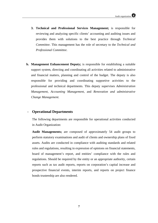- **3. Technical and Professional Services Management;** is responsible for reviewing and analyzing specific clients' accounting and auditing issues and provides them with solutions to the best practice through *Technical Committee*. This management has the role of secretary to the *Technical and Professional Committee*.
- **b. Management Enhancement Deputy;** is responsible for establishing a suitable support system, directing and coordinating all activities related to administrative and financial matters, planning and control of the budget. The deputy is also responsible for providing and coordinating supportive activities to the professional and technical departments. This deputy supervises *Administration Management*, *Accounting Management*, and *Renovation and administrative Change Management*.

## - **Operational Departments**

The following departments are responsible for operational activities conducted in Audit Organization:

**Audit Managements;** are composed of approximately 54 audit groups to perform statutory examinations and audit of clients and ownership plans of fixed assets. Audits are conducted in compliance with auditing standards and related rules and regulations, resulting in expression of opinions on financial statements, board of management's report, and entities' compliance with the rules and regulations. Should be required by the entity or an appropriate authority, certain reports such as tax audit reports, reports on corporation's capital increase and prospective financial events, interim reports, and reports on project finance bonds trusteeship are also rendered.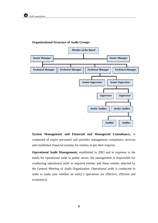

#### **Organizational Structure of Audit Groups**

**System Management and Financial and Managerial Consultancy;** is composed of expert personnel and provides management consultancy services and establishes financial systems for entities as per their requests.

**Operational Audit Management;** established in 2003 and in response to the needs for operational audit in public sector, the management is responsible for conducting operational audit in required entities and those entities selected by the General Meeting of Audit Organization. Operational audit is conducted in order to make sure whether an entity's operations are effective, efficient and economical.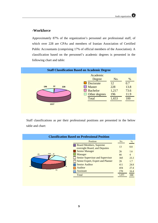# **-Workforce**

Approximately 87% of the organization's personnel are professional staff, of which over 228 are CPAs and members of Iranian Association of Certified Public Accountants (comprising 17% of official members of the Association). A classification based on the personnel's academic degrees is presented in the following chart and table:



Staff classifications as per their professional positions are presented in the below table and chart:

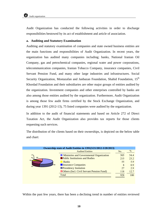Audit Organization has conducted the following activities in order to discharge responsibilities bestowed by its act of establishment and article of association.

#### **a. Auditing and Statutory Examination**

Auditing and statutory examination of companies and state owned business entities are the main functions and responsibilities of Audit Organization. In recent years, the organization has audited many companies including; banks, National Iranian Oil Company, gas and petrochemical companies, regional water and power corporations, telecommunication companies, Iranian Tobacco Company, insurance companies, Civil Servant Pension Fund, and many other large industries and infrastructures. Social Security Organization, Mostazafan and Janbazan Foundation, Shahid Foundation, 15<sup>th</sup> Khordad Foundation and their subsidiaries are other major groups of entities audited by the organization. Investment companies and other enterprises controlled by banks are also among those entities audited by the organization. Furthermore, Audit Organization is among those few audit firms certified by the Stock Exchange Organization, and during year 1391 (2012-13), 75 listed companies were audited by the organization.

In addition to the audit of financial statements and based on Article 272 of Direct Taxation Act, the Audit Organization also provides tax reports for those clients requesting such services.

The distribution of the clients based on their ownerships, is depicted on the below table and chart:

| Ownership state of Audit Entities in 1391(3/21/2012-3/20/2013) |                                                  |     |      |  |  |
|----------------------------------------------------------------|--------------------------------------------------|-----|------|--|--|
|                                                                | <b>Audited Entities</b>                          | No. | $\%$ |  |  |
| $27 -$                                                         | <b>Ministries and Governmental Organization</b>  | 505 | 54.4 |  |  |
| 118<br>$8-$                                                    | <b>Public Institutions and Bodies</b>            | 215 | 23.2 |  |  |
| $55 -$                                                         | <b>Banks</b>                                     | 55  | 5.9  |  |  |
| 505<br>215                                                     | <b>Insurance Companies</b>                       | 8   | 0.9  |  |  |
|                                                                | <b>Presidency Insitution</b>                     | 27  | 2.9  |  |  |
|                                                                | <b>Others (Incl. Civil Servant Pension Fund)</b> | 118 | 12.7 |  |  |
|                                                                | Total                                            | 928 | 100  |  |  |
|                                                                |                                                  |     |      |  |  |

Within the past few years, there has been a declining trend in number of entities reviewed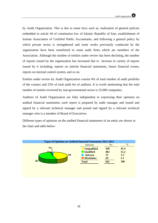

by Audit Organization. This is due to some facts such as; realization of general policies embedded in article 44 of constitution law of Islamic Republic of Iran, establishment of Iranian Association of Certified Public Accountants, and following a general policy by which private sector is strengthened and some works previously conducted by the organization have been transferred to some audit firms which are members of the Association. Although the number of entities under review has been declining, the number of reports issued by the organization has increased due to increase in variety of reports issued by it including; reports on interim financial statements, future financial events, reports on internal control system, and so on.

Entities under review by Audit Organization consist 4% of total number of audit portfolio of the country and 25% of total audit fee of auditors. It is worth mentioning that the total number of entities reviewed by non-governmental sector is 25,000 companies.

Auditors of Audit Organization are fully independent in expressing their opinions on audited financial statements; each report is prepared by audit manager and issued and signed by a relevant technical manager and posted and signed by a relevant technical manager who is a member of Board of Executives.

Different types of opinions on the audited financial statements of an entity are shown in the chart and table below:

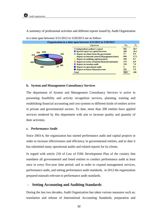

A summary of professional activities and different reports issued by Audit Organization

in a time span between 3/21/2012 to 3/20/2013 are as follow:

#### **b. System and Management Consultancy Services**

The department of System and Management Consultancy Services is active in presenting feasibility and activity recognition services, planning, training and establishing financial accounting and cost systems to different kinds of entities active in private and governmental sectors. To date, more than 200 entities have applied services rendered by this department with aim to increase quality and quantity of their activities.

#### **c. Performance Audit**

Since 2003-4, the organization has started performance audit and capital projects in order to increase effectiveness and efficiency in governmental entities, and to date it has submitted many operational audits and related reports for its clients.

In regard with article 218 of Law of Fifth Development Plan of the country that mandates all governmental and listed entities to conduct performance audit at least once in every five-year time period, and in order to expand management services, performance audit, and setting performance audit standards, in 2012 the organization prepared manuals relevant to performance audit standards.

#### - **Setting Accounting and Auditing Standards**

During the last two decades, Audit Organization has taken various measures such as; translation and release of International Accounting Standards, preparation and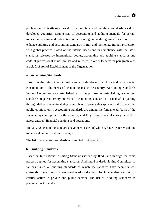publication of textbooks based on accounting and auditing standards used in developed countries, issuing sets of accounting and auditing manuals for certain topics, and issuing and publication of accounting and auditing guidelines in order to enhance auditing and accounting standards in Iran and harmonize Iranian profession with global practice. Based on the internal needs and in compliance with the latest standards released by international bodies, accounting and auditing standards and code of professional ethics are set and released in order to perform paragraph 4 of article 2 of Act of Establishment of the Organization.

#### **a. Accounting Standards**

Based on the latest international standards developed by IASB and with special consideration to the needs of accounting inside the country, Accounting Standards Setting Committee was established with the purpose of establishing accounting standards required. Every individual accounting standard is issued after passing through different analytical stages and then preparing its exposure draft to have the public opinions on it. Accounting standards are among the fundamental basis of the financial system applied in the country, and they bring financial clarity needed to assess entities' financial positions and operations.

To date, 32 accounting standards have been issued of which 9 have been revised due to national and international changes.

The list of accounting standards is presented in Appendix 1.

#### **b. Auditing Standards**

Based on International Auditing Standards issued by IFAC and through the same process applied for accounting standards, Auditing Standards Setting Committee so far has issued 40 auditing standards of which 15 standards have been revised. Currently, these standards are considered as the basis for independent auditing of entities active in private and public sectors. The list of Auditing standards is presented in Appendix 2.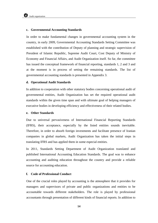#### **c. Governmental Accounting Standards**

In order to make fundamental changes in governmental accounting system in the country, in early 2009, Governmental Accounting Standards Setting Committee was established with the contribution of Deputy of planning and strategic supervision of President of Islamic Republic, Supreme Audit Court, Cost Deputy of Ministry of Economy and Financial Affairs, and Audit Organization itself. So far, the committee has issued the conceptual framework of financial reporting, standards 1, 2 and 3 and at the moment is in process of setting the remaining standards. The list of governmental accounting standards is presented in Appendix 3.

#### **d. Operational Audit Standards**

In addition to cooperation with other statutory bodies concerning operational audit of governmental entities, Audit Organization has set the required operational audit standards within the given time span and with ultimate goal of helping managers of executive bodies in developing efficiency and effectiveness of their related bodies.

#### **e. Other Standards**

Due to universal pervasiveness of International Financial Reporting Standards (IFRS), their acceptance, especially by the listed entities sounds inevitable. Therefore, in order to absorb foreign investments and facilitate presence of Iranian companies in global markets, Audit Organization has taken the initial steps in translating IFRS and has applied them in some especial entities.

In 2011, Standards Setting Department of Audit Organization translated and published International Accounting Education Standards. The goal was to enhance accounting and auditing education throughout the country and provide a reliable source for accounting education.

#### **f. Code of Professional Conduct**

One of the crucial roles played by accounting is the atmosphere that it provides for managers and supervisors of private and public organizations and entities to be accountable towards different stakeholders. The role is played by professional accountants through presentation of different kinds of financial reports. In addition to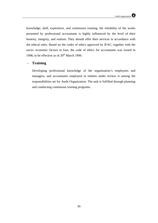knowledge, skill, experience, and continuous training, the reliability of the works presented by professional accountants is highly influenced by the level of their honesty, integrity, and realism. They should offer their services in accordance with the ethical rules. Based on the codes of ethics approved by IFAC, together with the socio- economic factors in Iran, the code of ethics for accountants was issued in 1998, to be effective as of  $20<sup>th</sup>$  March 1999.

#### - **Training**

Developing professional knowledge of the organization's employees and managers, and accountants employed in entities under review is among the responsibilities set for Audit Organization. The task is fulfilled through planning and conducting continuous training programs.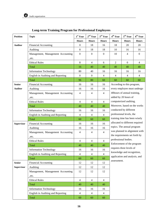

| <b>Position</b>   | <b>Topic</b>                      | $1st$ Year       | $2^{\rm nd}$ Year | $3^{\text{rd}}$ Year     | 4 <sup>th</sup> Year            | $5^{\text{th}}$ Year          | 6 <sup>th</sup> Year |
|-------------------|-----------------------------------|------------------|-------------------|--------------------------|---------------------------------|-------------------------------|----------------------|
|                   |                                   | <b>Hours</b>     | <b>Hours</b>      | <b>Hours</b>             | <b>Hours</b>                    | <b>Hours</b>                  | <b>Hours</b>         |
| <b>Auditor</b>    | <b>Financial Accounting</b>       | $\boldsymbol{0}$ | 18                | 16                       | 18                              | 20                            | 20                   |
|                   | Auditing                          | 8                | 18                | 18                       | 10                              | 16                            | 16                   |
|                   | Management, Management Accounting | $\boldsymbol{0}$ | $\boldsymbol{0}$  | $\boldsymbol{0}$         | 10                              | 4                             | $\boldsymbol{0}$     |
|                   | .etc.                             |                  |                   |                          |                                 |                               |                      |
|                   | <b>Ethical Rules</b>              | $\,8\,$          | $\overline{4}$    | 6                        | 2                               | $\overline{0}$                | $\overline{4}$       |
|                   | Total                             | 16               | 40                | 40                       | 40                              | 40                            | 40                   |
|                   | <b>Information Technology</b>     | 80               | 40                | 16                       | 16                              | 16                            | 16                   |
|                   | English in Auditing and Reporting |                  | $\overline{0}$    | $\overline{4}$           | $\overline{4}$                  | $\overline{4}$                | $\overline{4}$       |
|                   | <b>Total</b>                      | 96               | 80                | 60                       | 60                              | 60                            | 60                   |
| <b>Senior</b>     | Financial Accounting              | 16               | 16                | 16                       |                                 | According to this program,    |                      |
| Auditor           | Auditing                          | 16               | 16                | 16                       |                                 | every employee must undergo   |                      |
|                   | Management, Management Accounting | $\overline{4}$   | 4                 | $\overline{4}$           |                                 | 40hours of annual training,   |                      |
|                   | ,etc.                             |                  |                   |                          |                                 | added by 20 hours of          |                      |
|                   | <b>Ethical Rules</b>              | $\overline{4}$   | $\overline{4}$    | $\overline{4}$           |                                 | computerized auditing.        |                      |
|                   | Total                             | 40               | 40                | 40                       |                                 | Moreover, based on the works  |                      |
|                   | <b>Information Technology</b>     | 16               | 16                | 16                       |                                 | conducted by different        |                      |
|                   | English in Auditing and Reporting | $\overline{4}$   | $\overline{4}$    | $\overline{4}$           |                                 | professional levels, the      |                      |
|                   | Total                             | 60               | 60                | 60                       | training time has been wisely   |                               |                      |
| Supervisor        | <b>Financial Accounting</b>       | 16               | 16                | 16                       | allocated to different required |                               |                      |
|                   | Auditing                          | 16               | 16                | 16                       |                                 | topics. The annual program    |                      |
|                   | Management, Management Accounting | $\overline{4}$   | 4                 | $\overline{4}$           | was planned in alignment with   |                               |                      |
|                   | .etc.                             |                  |                   |                          | the requirements set forth by   |                               |                      |
|                   | <b>Ethical Rules</b>              | $\overline{4}$   | 4                 | $\overline{4}$           | professional bodies.            |                               |                      |
|                   | Total                             | 40               | 40                | 40                       |                                 | Enforcement of the program    |                      |
|                   | <b>Information Technology</b>     | 16               | 16                | 16                       |                                 | requires three levels of      |                      |
|                   | English in Auditing and Reporting | $\overline{4}$   | $\overline{4}$    | $\overline{\mathcal{L}}$ |                                 | knowledge and recognition,    |                      |
|                   | Total                             | 60               | 60                | 60                       |                                 | application and analysis, and |                      |
| <b>Senior</b>     | <b>Financial Accounting</b>       | 12               | 12                | 12                       | assessment.                     |                               |                      |
| <b>Supervisor</b> | Auditing                          | 12               | 12                | 12                       |                                 |                               |                      |
|                   | Management, Management Accounting | 12               | 12                | 12                       |                                 |                               |                      |
|                   | ,etc.                             |                  |                   |                          |                                 |                               |                      |
|                   | <b>Ethical Rules</b>              | $\overline{4}$   | $\overline{4}$    | $\overline{4}$           |                                 |                               |                      |
|                   | Total                             | 40               | 40                | 40                       |                                 |                               |                      |
|                   | <b>Information Technology</b>     | 16               | 16                | 16                       |                                 |                               |                      |
|                   | English in Auditing and Reporting | $\overline{4}$   | $\overline{4}$    | $\overline{4}$           |                                 |                               |                      |
|                   | Total                             | 60               | 60                | 60                       |                                 |                               |                      |

# **Long-term Training Program for Professional Employees**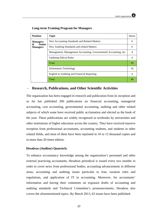| <b>Position</b>                       | <b>Topic</b>                                                     | <b>Hours</b> |
|---------------------------------------|------------------------------------------------------------------|--------------|
| <b>Managers</b>                       | New Accounting Standards and Related Matters                     | 6            |
| &<br><b>Senior</b><br><b>Managers</b> | New Auditing Standards and related Matters                       | 6            |
|                                       | Management, Management Accounting, Governmental Accounting, etc. | 4            |
|                                       | <b>Updating Ethical Rules</b>                                    |              |
|                                       | Total                                                            | 20           |
|                                       | <b>Information Technology</b>                                    | 16           |
|                                       | English in Auditing and Financial Reporting                      | 4            |
|                                       | Total                                                            | 40           |

#### **Long-term Training Program for Managers**

#### - **Research, Publications, and Other Scientific Activities**

The organization has been engaged in research and publication from its inception and so far has published 200 publications on financial accounting, managerial accounting, cost accounting, governmental accounting, auditing and other related subjects of which some have received public acclamation and elected as the book of the year. These publications are widely recognized as textbooks by universities and other institutions of higher education across the country. They have received massive reception from professional accountants, accounting students, and students in other related fields, and most of them have been reprinted in 10 to 15 thousand copies and in more than 20 times edition.

#### **Hesabras (Auditor) Quarterly**

To enhance accountancy knowledge among the organization's personnel and other external practicing accountants, Hesabras periodical is issued every two months in order to cover news from professional bodies, accounting advancements in different areas, accounting and auditing issues particular to Iran, taxation rules and regulations, and application of IT in accounting. Moreover, for accountants' information and having their comments on exposure drafts of accounting and auditing standards and Technical Committee's pronouncements, Hesabras also covers the aforementioned topics. By March 2013, 63 issues have been published.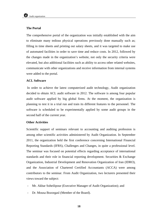#### **The Portal**

The comprehensive portal of the organization was initially established with the aim to eliminate many tedious physical operations previously done manually such as; filling in time sheets and printing out salary sheets, and it was targeted to make use of automated facilities in order to save time and reduce costs. In 2012, followed by the changes made in the organization's website, not only the security criteria were elevated, but also additional facilities such as ability to access other related websites, communicate with other organizations and receive information from internal systems were added to the portal.

#### **ACL Software**

In order to achieve the latest computerized audit technology, Audit organization decided to obtain ACL audit software in 2012. The software is among four popular audit software applied by big global firms. At the moment, the organization is planning to test it in a trial run and train its different features to the personnel. The software is scheduled to be experimentally applied by some audit groups in the second half of the current year.

### **Other Activities**

Scientific support of seminars relevant to accounting and auditing profession is among other scientific activities administered by Audit Organization. In September 2011, the organization held the first conference concerning International Financial Reporting Standards (IFRS), Challenges and Changes, in quite a professional level. The seminar was focused on potential effects regarding acceptance of international standards and their role in financial reporting development. Securities & Exchange Organization, Industrial Development and Renovation Organization of Iran (IDRO), and the Association of Chartered Certified Accountants (ACCA) were among contributors to the seminar. From Audit Organization, two lecturers presented their views toward the subject:

- Mr. Akbar Soheilipour (Executive Manager of Audit Organization); and
- Dr. Mousa Bozorgasl (Member of the Board).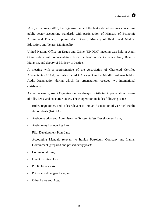Also, in February 2013, the organization held the first national seminar concerning public sector accounting standards with participation of Ministry of Economic Affairs and Finance, Supreme Audit Court, Ministry of Health and Medical Education, and Tehran Municipality.

United Nations Office on Drugs and Crime (UNODC) meeting was held at Audit Organization with representative from the head office (Vienna), Iran, Belarus, Malaysia, and deputy of Ministry of Justice.

A meeting with a representative of the Association of Chartered Certified Accountants (ACCA) and also the ACCA's agent in the Middle East was held in Audit Organization during which the organization received two international certificates.

As per necessary, Audit Organization has always contributed in preparation process of bills, laws, and executive codes. The cooperation includes following issues:

- Rules, regulations, and codes relevant to Iranian Association of Certified Public Accountants (IACPA);
- Anti-corruption and Administrative System Safety Development Law;
- Anti-money Laundering Law;
- Fifth Development Plan Law;
- Accounting Manuals relevant to Iranian Petroleum Company and Iranian Government (prepared and passed every year);
- Commercial Law;
- Direct Taxation Law;
- Public Finance Act:
- Prior-period budgets Law; and
- Other Laws and Acts.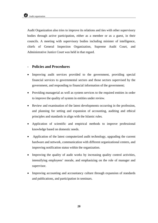Audit Organization also tries to improve its relations and ties with other supervisory bodies through active participation, either as a member or as a guest, in their councils. A meeting with supervisory bodies including minister of intelligence, chiefs of General Inspection Organization, Supreme Audit Court, and Administrative Justice Court was held in that regard.

## - **Policies and Procedures**

- Improving audit services provided to the government, providing special financial services to governmental sectors and those sectors supervised by the government, and responding to financial information of the government;
- Providing managerial as well as system services to the required entities in order to improve the quality of system in entities under review.
- Review and examination of the latest developments occurring in the profession, and planning for setting and expansion of accounting, auditing and ethical principles and standards in align with the Islamic rules.
- Application of scientific and empirical methods to improve professional knowledge based on domestic needs.
- Application of the latest computerized audit technology, upgrading the current hardware and network, communication with different organizational centers, and improving notification status within the organization.
- Improving the quality of audit works by increasing quality control activities, intensifying employees' morale, and emphasizing on the role of manager and supervisor.
- Improving accounting and accountancy culture through expansion of standards and publications, and participation in seminars.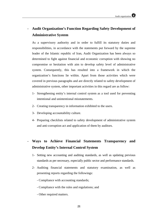# - **Audit Organization's Function Regarding Safety Development of Administrative System**

As a supervisory authority and in order to fulfill its statutory duties and responsibilities, in accordance with the statements put forward by the supreme leader of the Islamic republic of Iran, Audit Organization has been always so determined to fight against financial and economic corruption with showing no compromise or hesitation with aim to develop safety level of administrative system. Consequently, this has resulted into a framework in which the organization's functions lie within. Apart from those activities which were covered in previous paragraphs and are directly related to safety development of administrative system, other important activities in this regard are as follow:

- 1- Strengthening entity's internal control system as a tool used for preventing intentional and unintentional misstatements.
- 2- Creating transparency in information exhibited to the users.
- 3- Developing accountability culture.
- 4- Preparing checklists related to safety development of administrative system and anti-corruption act and application of them by auditors.

# - **Ways to Achieve Financial Statements Transparency and Develop Entity's Internal Control System**

- 1- Setting new accounting and auditing standards, as well as updating previous standards as per necessary, especially public sector and performance standards.
- 2- Auditing financial statements and statutory examination, as well as presenting reports regarding the followings:
	- Compliance with accounting standards;
	- Compliance with the rules and regulations; and
	- Other required matters.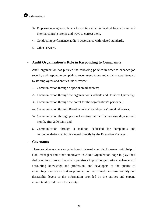- 3- Preparing management letters for entities which indicate deficiencies in their internal control systems and ways to correct them.
- 4- Conducting performance audit in accordance with related standards.
- 5- Other services.

## - **Audit Organization's Role in Responding to Complaints**

Audit organization has pursued the following policies in order to enhance job security and respond to complaints, recommendations and criticisms put forward by its employees and entities under review:

- 1- Communication through a special email address;
- 2- Communication through the organization's website and Hesabres Quarterly;
- 3- Communication through the portal for the organization's personnel;
- 4- Communication through Board members' and deputies' email addresses;
- 5- Communication through personal meetings at the first working days in each month, after 2:00 p.m.; and
- 6- Communication through a mailbox dedicated for complaints and recommendations which is viewed directly by the Executive Manager.

#### - **Covenants**

There are always some ways to breach internal controls. However, with help of God, managers and other employees in Audit Organization hope to play their dedicated functions as financial supervisors in profit organizations, enhancers of accounting knowledge and profession, and developers of the quality of accounting services as best as possible, and accordingly increase validity and desirability levels of the information provided by the entities and expand accountability culture in the society.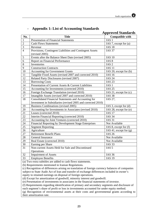|                 | <b>Approved Standards</b>                                                  |                          |  |  |
|-----------------|----------------------------------------------------------------------------|--------------------------|--|--|
| No.             | <b>Title</b>                                                               | <b>Compatible with</b>   |  |  |
| $\mathbf{1}$    | <b>Presentation of Financial Statements</b>                                | IAS <sub>1</sub>         |  |  |
| $\overline{2}$  | <b>Cash Flows Statements</b>                                               | IAS 7, except for (a)    |  |  |
| $\overline{3}$  | Revenue                                                                    | <b>IAS 18</b>            |  |  |
| $\overline{4}$  | Provisions, Contingent Liabilities and Contingent Assets<br>(revised 2005) | <b>IAS 37</b>            |  |  |
| $\mathfrak s$   | Events after the Balance Sheet Date (revised 2005)                         | <b>IAS 10</b>            |  |  |
| 6               | Report on Financial Performance                                            | IAS <sub>8</sub>         |  |  |
| $\overline{8}$  | Inventories                                                                | IAS <sub>2</sub>         |  |  |
| 9               | <b>Construction Contracts</b>                                              | <b>IAS 11</b>            |  |  |
| 10              | <b>Accounting for Government Grants</b>                                    | IAS 20, except for (b)   |  |  |
| 11              | Tangible Fixed Assets (revised 2007 and corrected 2010)                    | <b>IAS 16</b>            |  |  |
| $\overline{12}$ | Related Party Disclosures (revised 2007)                                   | <b>IAS 24</b>            |  |  |
| 13              | <b>Borrowing Costs</b>                                                     | <b>IAS 23</b>            |  |  |
| 14              | Presentation of Current Assets & Current Liabilities                       | IAS <sub>1</sub>         |  |  |
| 15              | Accounting for Investments (corrected 2010)                                | <b>IAS 25</b>            |  |  |
| 16              | Foreign Exchange Translation (revised 2010)                                | IAS 21, except for (c)   |  |  |
| 17              | Intangible Assets (revised 2007 and corrected 2010)                        | <b>IAS 38</b>            |  |  |
| 18              | Consolidated Financial Statements and Accounting for                       | IAS 27,                  |  |  |
|                 | Investment in Subsidiaries (revised 2005 and corrected 2010)               |                          |  |  |
| 19              | Business Combinations (revised 2005)                                       | IAS 3, except for (d)    |  |  |
| 20              | Accounting for Investments in Associates (revised 2010)                    | IAS 28, except for (e)   |  |  |
| 21              | Leases (corrected 2010)                                                    | <b>IAS 17</b>            |  |  |
| 22              | Interim Financial Reporting (corrected 2010)                               | <b>IAS 34</b>            |  |  |
| $\overline{23}$ | Accounting for Joint Ventures (corrected 2010)                             | <b>IAS 31</b>            |  |  |
| 24              | Financial Reporting by Development Stage Enterprises                       | Not Available            |  |  |
| $\overline{25}$ | <b>Segment Reporting</b>                                                   | IAS 8, except for (f)    |  |  |
| 26              | Agriculture                                                                | IAS 41, except for $(g)$ |  |  |
| 27              | <b>Retirement Benefit Plans</b>                                            | <b>IAS 26</b>            |  |  |
| 28              | General Insurance                                                          | Not Available            |  |  |
| 29              | Real Estate (corrected 2010)                                               | Not Available            |  |  |
| 30              | Earning per Share                                                          | <b>IAS 33</b>            |  |  |
| 31              | Non-current Assets Held for Sale and Discontinued                          | IAS <sub>5</sub>         |  |  |
|                 | Operations                                                                 |                          |  |  |
| 32              | <b>Impairment of Assets</b>                                                | <b>IAS 36</b>            |  |  |
| $\overline{33}$ | <b>Employee Benefits</b>                                                   | <b>IAS 19</b>            |  |  |

# - **Appendix 1: List of Accounting Standards**

(a) Two extra subtitles are added to cash flows statements.

(b) Requirements mentioned in Iranian Regulations.

(c) Recognition of differences arising on translation of foreign currency balances of companies subject to State Audit Act of Iran and transfer of exchange differences included in owner's equity to retained earnings on disposal of foreign operations.

(d) Except for amortization of goodwill, minority interest and goodwill.

(e) Presentation of investments in associates in the financial statements of investor.

(f) Requirements regarding identification of primary and secondary segments and disclosure of

each segment's share of profit or loss in investments accounted for under equity method.

(g) Recognition of environmental assets at their costs and governmental grants according to their amortization rate.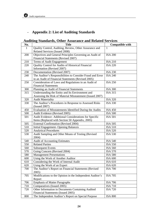# - **Appendix 2: List of Auditing Standards**

# **Auditing Standards, Other Assurance and Related Services**

| No. | <b>Title</b>                                               | <b>Compatible with</b> |
|-----|------------------------------------------------------------|------------------------|
| 1   | Quality Control, Auditing, Review, Other Assurance and     | 1                      |
|     | Related Services (Issued 2008)                             |                        |
| 200 | Objectives and General Principles Governing an Audit of    | <b>ISA 200</b>         |
|     | Financial Statements (Revised 2007)                        |                        |
| 210 | Terms of Audit Engagement                                  | <b>ISA 210</b>         |
| 220 | Quality Control for Audits of Historical Financial         | <b>ISA 220</b>         |
|     | Information (Revised 2007)                                 |                        |
| 230 | Documentation (Revised 2007)                               | <b>ISA 230</b>         |
| 240 | The Auditor's Responsibilities to Consider Fraud and Error | <b>ISA 240</b>         |
|     | in an Audit of Financial Statements (Revised 2005)         |                        |
| 250 | Consideration of Laws and Regulations in an Audit of       | <b>ISA 250</b>         |
|     | <b>Financial Statements</b>                                |                        |
| 300 | Planning an Audit of Financial Statements                  | <b>ISA 300</b>         |
| 315 | Understanding the Entity and Its Environment and           | <b>ISA 315</b>         |
|     | Assessing the Risk of Material Misstatement (Issued 2007)  |                        |
| 320 | <b>Audit Materiality</b>                                   | <b>ISA 320</b>         |
| 330 | The Auditor's Procedures in Response to Assessed Risks     | <b>ISA 330</b>         |
|     | (Is sued 2007)                                             |                        |
| 450 | Evaluation of Misstatements Identified During the Audits   | <b>ISA 450</b>         |
| 500 | Audit Evidence (Revised 2005)                              | <b>ISA 500</b>         |
| 501 | Audit Evidence- Additional Considerations for Specific     | <b>ISA 501</b>         |
|     | Items (Replaced with Section 50 Appendix, 2005)            |                        |
| 505 | <b>External Confirmation (Revised 2004)</b>                | <b>ISA 505</b>         |
| 510 | <b>Initial Engagement-Opening Balances</b>                 | <b>ISA 510</b>         |
| 520 | <b>Analytical Procedures</b>                               | <b>ISA 520</b>         |
| 530 | Audit Sampling and Other Means of Testing (Revised         | <b>ISA 530</b>         |
|     | 2004)                                                      |                        |
| 540 | <b>Audit of Accounting Estimates</b>                       | <b>ISA 540</b>         |
| 550 | <b>Related Parties</b>                                     | <b>ISA 550</b>         |
| 560 | <b>Subsequent Events</b>                                   | <b>ISA 560</b>         |
| 570 | Going Concern (Revised 2004)                               | <b>ISA 570</b>         |
| 580 | <b>Management Presentations</b>                            | <b>ISA 580</b>         |
| 600 | Using the Work of Another Auditor                          | <b>ISA 600</b>         |
| 610 | Considering the Work of Internal Audit                     | ISA 610                |
| 620 | Using the Work of an Expert                                | <b>ISA 620</b>         |
| 700 | The Auditor's Report on Financial Statements (Revised      | <b>ISA 700</b>         |
|     | 2005)                                                      |                        |
| 705 | Modifications to the Opinion in the Independent Auditor's  | <b>ISA 705</b>         |
|     | Report                                                     |                        |
| 706 | <b>Emphasis of Matter Paragraphs</b>                       | <b>ISA 706</b>         |
| 710 | Comparatives (Issued 2005)                                 | <b>ISA 710</b>         |
| 720 | Other Information in Documents Containing Audited          | <b>ISA 720</b>         |
|     | Financial Statements (Issued 2005)                         |                        |
| 800 | The Independent Auditor's Report on Special Purpose        | <b>ISA 800</b>         |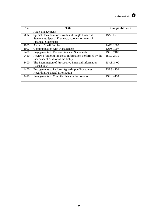| No.  | <b>Title</b>                                             | <b>Compatible with</b> |
|------|----------------------------------------------------------|------------------------|
|      | <b>Audit Engagements</b>                                 |                        |
| 805  | Special Considerations-Audits of Single Financial        | <b>ISA 805</b>         |
|      | Statements, Special Elements, accounts or items of       |                        |
|      | <b>Financial Statements</b>                              |                        |
| 1005 | <b>Audit of Small Entities</b>                           | <b>IAPS 1005</b>       |
| 1007 | <b>Communication with Management</b>                     | <b>IAPS 1007</b>       |
| 2400 | <b>Engagements to Review Financial Statements</b>        | <b>ISRE 2400</b>       |
| 2410 | Review of Interim Financial Information Performed by the | <b>ISRE 2410</b>       |
|      | Independent Auditor of the Entity                        |                        |
| 3400 | The Examination of Prospective Financial Information     | <b>ISAE 3400</b>       |
|      | (Is sued 2005)                                           |                        |
| 4400 | <b>Engagements to Perform Agreed-upon Procedures</b>     | <b>ISRS 4400</b>       |
|      | <b>Regarding Financial Information</b>                   |                        |
| 4410 | <b>Engagements to Compile Financial Information</b>      | <b>ISRS 4410</b>       |
|      |                                                          |                        |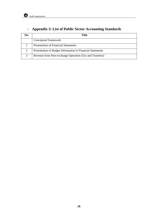# - **Appendix 3: List of Public Sector Accounting Standards**

| No.           | Title                                                      |
|---------------|------------------------------------------------------------|
|               | Conceptual Framework                                       |
|               | <b>Presentation of Financial Statements</b>                |
| $\mathcal{D}$ | Presentation of Budget Information in Financial Statements |
| 3             | Revenue from Non-exchange Operation (Tax and Transfers)    |